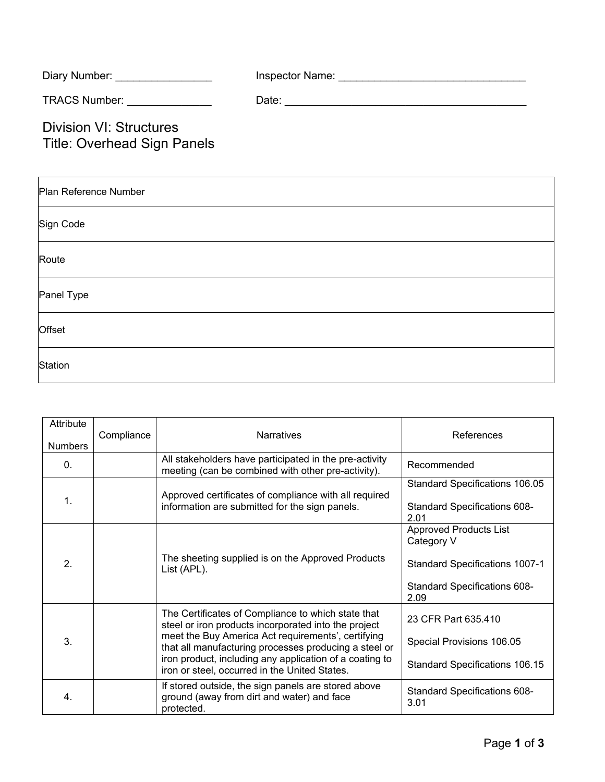| Diary Number: <b>Example 20</b>                                      | Inspector Name: The control of the control of the control of the control of the control of the control of the control of the control of the control of the control of the control of the control of the control of the control |
|----------------------------------------------------------------------|--------------------------------------------------------------------------------------------------------------------------------------------------------------------------------------------------------------------------------|
| TRACS Number: TRACS Number:                                          | Date:                                                                                                                                                                                                                          |
| <b>Division VI: Structures</b><br><b>Title: Overhead Sign Panels</b> |                                                                                                                                                                                                                                |

| Plan Reference Number |
|-----------------------|
| Sign Code             |
| Route                 |
| Panel Type            |
| Offset                |
| Station               |

| Attribute<br><b>Numbers</b> | Compliance | <b>Narratives</b>                                                                                                                                                                                                                                                                                                                     | References                                                                                                                   |
|-----------------------------|------------|---------------------------------------------------------------------------------------------------------------------------------------------------------------------------------------------------------------------------------------------------------------------------------------------------------------------------------------|------------------------------------------------------------------------------------------------------------------------------|
| $\Omega$ .                  |            | All stakeholders have participated in the pre-activity<br>meeting (can be combined with other pre-activity).                                                                                                                                                                                                                          | Recommended                                                                                                                  |
| 1.                          |            | Approved certificates of compliance with all required<br>information are submitted for the sign panels.                                                                                                                                                                                                                               | Standard Specifications 106.05<br>Standard Specifications 608-<br>2.01                                                       |
| 2.                          |            | The sheeting supplied is on the Approved Products<br>List (APL).                                                                                                                                                                                                                                                                      | <b>Approved Products List</b><br>Category V<br><b>Standard Specifications 1007-1</b><br>Standard Specifications 608-<br>2.09 |
| 3.                          |            | The Certificates of Compliance to which state that<br>steel or iron products incorporated into the project<br>meet the Buy America Act requirements', certifying<br>that all manufacturing processes producing a steel or<br>iron product, including any application of a coating to<br>iron or steel, occurred in the United States. | 23 CFR Part 635.410<br>Special Provisions 106.05<br><b>Standard Specifications 106.15</b>                                    |
| 4.                          |            | If stored outside, the sign panels are stored above<br>ground (away from dirt and water) and face<br>protected.                                                                                                                                                                                                                       | <b>Standard Specifications 608-</b><br>3.01                                                                                  |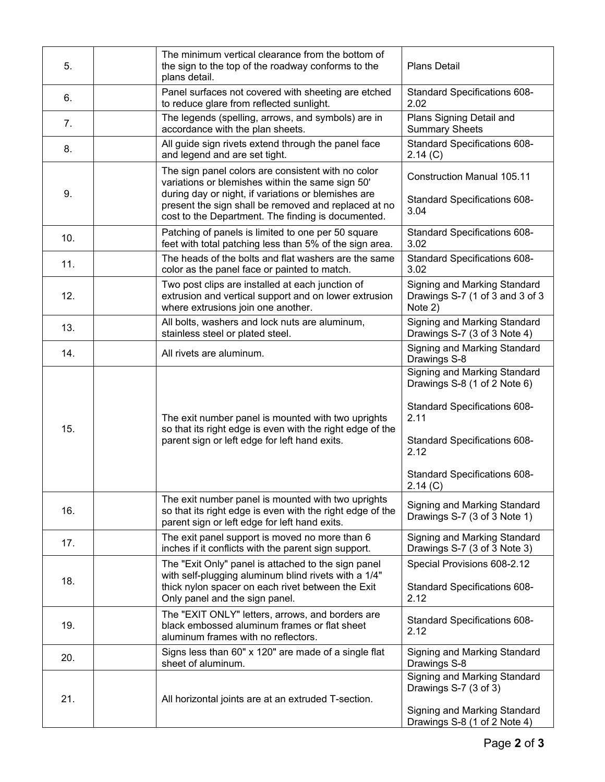| 5.  | The minimum vertical clearance from the bottom of<br>the sign to the top of the roadway conforms to the<br>plans detail.                                                                                                                                                    | <b>Plans Detail</b>                                                                                                                                                                     |
|-----|-----------------------------------------------------------------------------------------------------------------------------------------------------------------------------------------------------------------------------------------------------------------------------|-----------------------------------------------------------------------------------------------------------------------------------------------------------------------------------------|
| 6.  | Panel surfaces not covered with sheeting are etched<br>to reduce glare from reflected sunlight.                                                                                                                                                                             | Standard Specifications 608-<br>2.02                                                                                                                                                    |
| 7.  | The legends (spelling, arrows, and symbols) are in<br>accordance with the plan sheets.                                                                                                                                                                                      | Plans Signing Detail and<br><b>Summary Sheets</b>                                                                                                                                       |
| 8.  | All guide sign rivets extend through the panel face<br>and legend and are set tight.                                                                                                                                                                                        | Standard Specifications 608-<br>2.14 (C)                                                                                                                                                |
| 9.  | The sign panel colors are consistent with no color<br>variations or blemishes within the same sign 50'<br>during day or night, if variations or blemishes are<br>present the sign shall be removed and replaced at no<br>cost to the Department. The finding is documented. | <b>Construction Manual 105.11</b><br>Standard Specifications 608-<br>3.04                                                                                                               |
| 10. | Patching of panels is limited to one per 50 square<br>feet with total patching less than 5% of the sign area.                                                                                                                                                               | Standard Specifications 608-<br>3.02                                                                                                                                                    |
| 11. | The heads of the bolts and flat washers are the same<br>color as the panel face or painted to match.                                                                                                                                                                        | Standard Specifications 608-<br>3.02                                                                                                                                                    |
| 12. | Two post clips are installed at each junction of<br>extrusion and vertical support and on lower extrusion<br>where extrusions join one another.                                                                                                                             | Signing and Marking Standard<br>Drawings S-7 (1 of 3 and 3 of 3<br>Note 2)                                                                                                              |
| 13. | All bolts, washers and lock nuts are aluminum,<br>stainless steel or plated steel.                                                                                                                                                                                          | Signing and Marking Standard<br>Drawings S-7 (3 of 3 Note 4)                                                                                                                            |
| 14. | All rivets are aluminum.                                                                                                                                                                                                                                                    | Signing and Marking Standard<br>Drawings S-8                                                                                                                                            |
| 15. | The exit number panel is mounted with two uprights<br>so that its right edge is even with the right edge of the<br>parent sign or left edge for left hand exits.                                                                                                            | Signing and Marking Standard<br>Drawings S-8 (1 of 2 Note 6)<br>Standard Specifications 608-<br>2.11<br>Standard Specifications 608-<br>2.12<br>Standard Specifications 608-<br>2.14(G) |
| 16. | The exit number panel is mounted with two uprights<br>so that its right edge is even with the right edge of the<br>parent sign or left edge for left hand exits.                                                                                                            | Signing and Marking Standard<br>Drawings S-7 (3 of 3 Note 1)                                                                                                                            |
| 17. | The exit panel support is moved no more than 6<br>inches if it conflicts with the parent sign support.                                                                                                                                                                      | Signing and Marking Standard<br>Drawings S-7 (3 of 3 Note 3)                                                                                                                            |
| 18. | The "Exit Only" panel is attached to the sign panel<br>with self-plugging aluminum blind rivets with a 1/4"<br>thick nylon spacer on each rivet between the Exit<br>Only panel and the sign panel.                                                                          | Special Provisions 608-2.12<br>Standard Specifications 608-<br>2.12                                                                                                                     |
| 19. | The "EXIT ONLY" letters, arrows, and borders are<br>black embossed aluminum frames or flat sheet<br>aluminum frames with no reflectors.                                                                                                                                     | Standard Specifications 608-<br>2.12                                                                                                                                                    |
| 20. | Signs less than 60" x 120" are made of a single flat<br>sheet of aluminum.                                                                                                                                                                                                  | Signing and Marking Standard<br>Drawings S-8                                                                                                                                            |
| 21. | All horizontal joints are at an extruded T-section.                                                                                                                                                                                                                         | Signing and Marking Standard<br>Drawings S-7 (3 of 3)<br>Signing and Marking Standard<br>Drawings S-8 (1 of 2 Note 4)                                                                   |